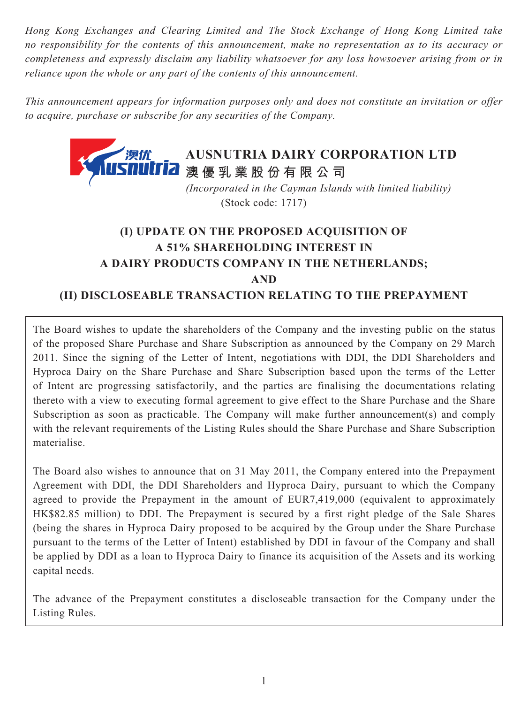*Hong Kong Exchanges and Clearing Limited and The Stock Exchange of Hong Kong Limited take no responsibility for the contents of this announcement, make no representation as to its accuracy or completeness and expressly disclaim any liability whatsoever for any loss howsoever arising from or in reliance upon the whole or any part of the contents of this announcement.*

*This announcement appears for information purposes only and does not constitute an invitation or offer to acquire, purchase or subscribe for any securities of the Company.*



(Stock code: 1717)

# **(I) UPDATE ON THE PROPOSED ACQUISITION OF A 51% SHAREHOLDING INTEREST IN A DAIRY PRODUCTS COMPANY IN THE NETHERLANDS; AND (II) DISCLOSEABLE TRANSACTION RELATING TO THE PREPAYMENT**

The Board wishes to update the shareholders of the Company and the investing public on the status of the proposed Share Purchase and Share Subscription as announced by the Company on 29 March 2011. Since the signing of the Letter of Intent, negotiations with DDI, the DDI Shareholders and Hyproca Dairy on the Share Purchase and Share Subscription based upon the terms of the Letter of Intent are progressing satisfactorily, and the parties are finalising the documentations relating thereto with a view to executing formal agreement to give effect to the Share Purchase and the Share Subscription as soon as practicable. The Company will make further announcement(s) and comply with the relevant requirements of the Listing Rules should the Share Purchase and Share Subscription materialise.

The Board also wishes to announce that on 31 May 2011, the Company entered into the Prepayment Agreement with DDI, the DDI Shareholders and Hyproca Dairy, pursuant to which the Company agreed to provide the Prepayment in the amount of EUR7,419,000 (equivalent to approximately HK\$82.85 million) to DDI. The Prepayment is secured by a first right pledge of the Sale Shares (being the shares in Hyproca Dairy proposed to be acquired by the Group under the Share Purchase pursuant to the terms of the Letter of Intent) established by DDI in favour of the Company and shall be applied by DDI as a loan to Hyproca Dairy to finance its acquisition of the Assets and its working capital needs.

The advance of the Prepayment constitutes a discloseable transaction for the Company under the Listing Rules.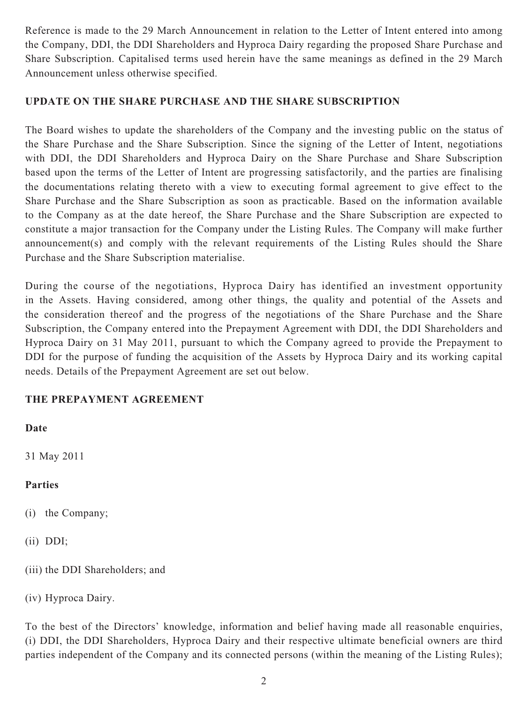Reference is made to the 29 March Announcement in relation to the Letter of Intent entered into among the Company, DDI, the DDI Shareholders and Hyproca Dairy regarding the proposed Share Purchase and Share Subscription. Capitalised terms used herein have the same meanings as defined in the 29 March Announcement unless otherwise specified.

#### **UPDATE ON THE SHARE PURCHASE AND THE SHARE SUBSCRIPTION**

The Board wishes to update the shareholders of the Company and the investing public on the status of the Share Purchase and the Share Subscription. Since the signing of the Letter of Intent, negotiations with DDI, the DDI Shareholders and Hyproca Dairy on the Share Purchase and Share Subscription based upon the terms of the Letter of Intent are progressing satisfactorily, and the parties are finalising the documentations relating thereto with a view to executing formal agreement to give effect to the Share Purchase and the Share Subscription as soon as practicable. Based on the information available to the Company as at the date hereof, the Share Purchase and the Share Subscription are expected to constitute a major transaction for the Company under the Listing Rules. The Company will make further announcement(s) and comply with the relevant requirements of the Listing Rules should the Share Purchase and the Share Subscription materialise.

During the course of the negotiations, Hyproca Dairy has identified an investment opportunity in the Assets. Having considered, among other things, the quality and potential of the Assets and the consideration thereof and the progress of the negotiations of the Share Purchase and the Share Subscription, the Company entered into the Prepayment Agreement with DDI, the DDI Shareholders and Hyproca Dairy on 31 May 2011, pursuant to which the Company agreed to provide the Prepayment to DDI for the purpose of funding the acquisition of the Assets by Hyproca Dairy and its working capital needs. Details of the Prepayment Agreement are set out below.

# **THE PREPAYMENT AGREEMENT**

**Date**

31 May 2011

# **Parties**

- (i) the Company;
- (ii) DDI;
- (iii) the DDI Shareholders; and
- (iv) Hyproca Dairy.

To the best of the Directors' knowledge, information and belief having made all reasonable enquiries, (i) DDI, the DDI Shareholders, Hyproca Dairy and their respective ultimate beneficial owners are third parties independent of the Company and its connected persons (within the meaning of the Listing Rules);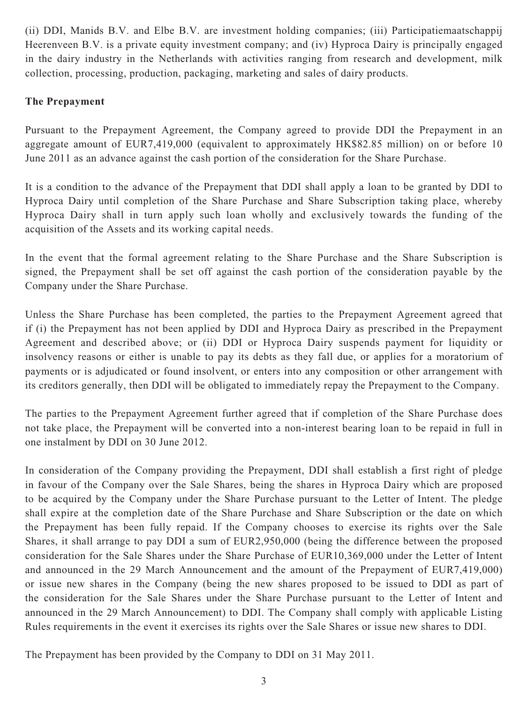(ii) DDI, Manids B.V. and Elbe B.V. are investment holding companies; (iii) Participatiemaatschappij Heerenveen B.V. is a private equity investment company; and (iv) Hyproca Dairy is principally engaged in the dairy industry in the Netherlands with activities ranging from research and development, milk collection, processing, production, packaging, marketing and sales of dairy products.

# **The Prepayment**

Pursuant to the Prepayment Agreement, the Company agreed to provide DDI the Prepayment in an aggregate amount of EUR7,419,000 (equivalent to approximately HK\$82.85 million) on or before 10 June 2011 as an advance against the cash portion of the consideration for the Share Purchase.

It is a condition to the advance of the Prepayment that DDI shall apply a loan to be granted by DDI to Hyproca Dairy until completion of the Share Purchase and Share Subscription taking place, whereby Hyproca Dairy shall in turn apply such loan wholly and exclusively towards the funding of the acquisition of the Assets and its working capital needs.

In the event that the formal agreement relating to the Share Purchase and the Share Subscription is signed, the Prepayment shall be set off against the cash portion of the consideration payable by the Company under the Share Purchase.

Unless the Share Purchase has been completed, the parties to the Prepayment Agreement agreed that if (i) the Prepayment has not been applied by DDI and Hyproca Dairy as prescribed in the Prepayment Agreement and described above; or (ii) DDI or Hyproca Dairy suspends payment for liquidity or insolvency reasons or either is unable to pay its debts as they fall due, or applies for a moratorium of payments or is adjudicated or found insolvent, or enters into any composition or other arrangement with its creditors generally, then DDI will be obligated to immediately repay the Prepayment to the Company.

The parties to the Prepayment Agreement further agreed that if completion of the Share Purchase does not take place, the Prepayment will be converted into a non-interest bearing loan to be repaid in full in one instalment by DDI on 30 June 2012.

In consideration of the Company providing the Prepayment, DDI shall establish a first right of pledge in favour of the Company over the Sale Shares, being the shares in Hyproca Dairy which are proposed to be acquired by the Company under the Share Purchase pursuant to the Letter of Intent. The pledge shall expire at the completion date of the Share Purchase and Share Subscription or the date on which the Prepayment has been fully repaid. If the Company chooses to exercise its rights over the Sale Shares, it shall arrange to pay DDI a sum of EUR2,950,000 (being the difference between the proposed consideration for the Sale Shares under the Share Purchase of EUR10,369,000 under the Letter of Intent and announced in the 29 March Announcement and the amount of the Prepayment of EUR7,419,000) or issue new shares in the Company (being the new shares proposed to be issued to DDI as part of the consideration for the Sale Shares under the Share Purchase pursuant to the Letter of Intent and announced in the 29 March Announcement) to DDI. The Company shall comply with applicable Listing Rules requirements in the event it exercises its rights over the Sale Shares or issue new shares to DDI.

The Prepayment has been provided by the Company to DDI on 31 May 2011.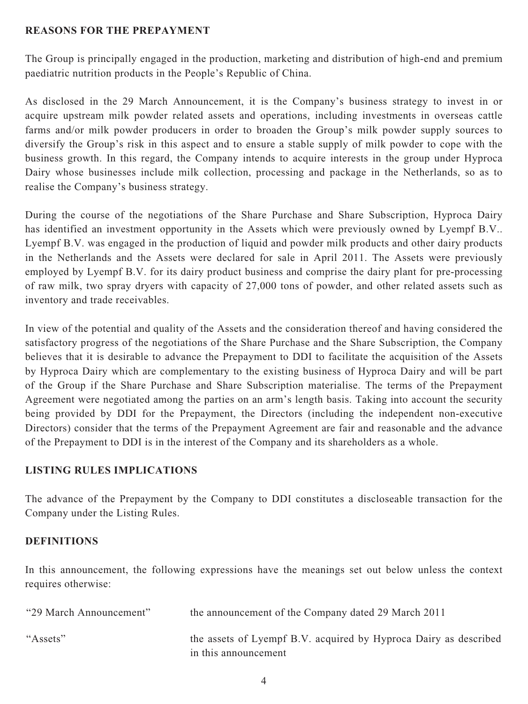#### **REASONS FOR THE PREPAYMENT**

The Group is principally engaged in the production, marketing and distribution of high-end and premium paediatric nutrition products in the People's Republic of China.

As disclosed in the 29 March Announcement, it is the Company's business strategy to invest in or acquire upstream milk powder related assets and operations, including investments in overseas cattle farms and/or milk powder producers in order to broaden the Group's milk powder supply sources to diversify the Group's risk in this aspect and to ensure a stable supply of milk powder to cope with the business growth. In this regard, the Company intends to acquire interests in the group under Hyproca Dairy whose businesses include milk collection, processing and package in the Netherlands, so as to realise the Company's business strategy.

During the course of the negotiations of the Share Purchase and Share Subscription, Hyproca Dairy has identified an investment opportunity in the Assets which were previously owned by Lyempf B.V.. Lyempf B.V. was engaged in the production of liquid and powder milk products and other dairy products in the Netherlands and the Assets were declared for sale in April 2011. The Assets were previously employed by Lyempf B.V. for its dairy product business and comprise the dairy plant for pre-processing of raw milk, two spray dryers with capacity of 27,000 tons of powder, and other related assets such as inventory and trade receivables.

In view of the potential and quality of the Assets and the consideration thereof and having considered the satisfactory progress of the negotiations of the Share Purchase and the Share Subscription, the Company believes that it is desirable to advance the Prepayment to DDI to facilitate the acquisition of the Assets by Hyproca Dairy which are complementary to the existing business of Hyproca Dairy and will be part of the Group if the Share Purchase and Share Subscription materialise. The terms of the Prepayment Agreement were negotiated among the parties on an arm's length basis. Taking into account the security being provided by DDI for the Prepayment, the Directors (including the independent non-executive Directors) consider that the terms of the Prepayment Agreement are fair and reasonable and the advance of the Prepayment to DDI is in the interest of the Company and its shareholders as a whole.

#### **LISTING RULES IMPLICATIONS**

The advance of the Prepayment by the Company to DDI constitutes a discloseable transaction for the Company under the Listing Rules.

#### **DEFINITIONS**

In this announcement, the following expressions have the meanings set out below unless the context requires otherwise:

| "29 March Announcement" | the announcement of the Company dated 29 March 2011                                      |
|-------------------------|------------------------------------------------------------------------------------------|
| "Assets"                | the assets of Lyempf B.V. acquired by Hyproca Dairy as described<br>in this announcement |